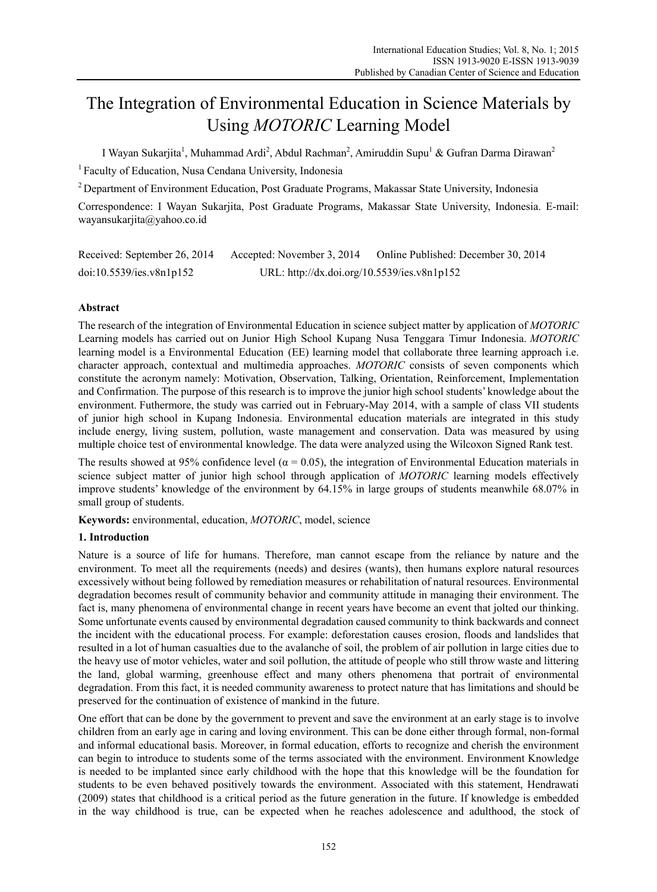# The Integration of Environmental Education in Science Materials by Using *MOTORIC* Learning Model

I Wayan Sukarjita<sup>1</sup>, Muhammad Ardi<sup>2</sup>, Abdul Rachman<sup>2</sup>, Amiruddin Supu<sup>1</sup> & Gufran Darma Dirawan<sup>2</sup>

<sup>1</sup> Faculty of Education, Nusa Cendana University, Indonesia

<sup>2</sup> Department of Environment Education, Post Graduate Programs, Makassar State University, Indonesia

Correspondence: I Wayan Sukarjita, Post Graduate Programs, Makassar State University, Indonesia. E-mail: wayansukarjita@yahoo.co.id

| Received: September 26, 2014 | Accepted: November 3, 2014                  | Online Published: December 30, 2014 |
|------------------------------|---------------------------------------------|-------------------------------------|
| doi:10.5539/ies.v8n1p152     | URL: http://dx.doi.org/10.5539/ies.v8n1p152 |                                     |

# **Abstract**

The research of the integration of Environmental Education in science subject matter by application of *MOTORIC* Learning models has carried out on Junior High School Kupang Nusa Tenggara Timur Indonesia. *MOTORIC* learning model is a Environmental Education (EE) learning model that collaborate three learning approach i.e. character approach, contextual and multimedia approaches. *MOTORIC* consists of seven components which constitute the acronym namely: Motivation, Observation, Talking, Orientation, Reinforcement, Implementation and Confirmation. The purpose of this research is to improve the junior high school students' knowledge about the environment. Futhermore, the study was carried out in February-May 2014, with a sample of class VII students of junior high school in Kupang Indonesia. Environmental education materials are integrated in this study include energy, living sustem, pollution, waste management and conservation. Data was measured by using multiple choice test of environmental knowledge. The data were analyzed using the Wilcoxon Signed Rank test.

The results showed at 95% confidence level ( $\alpha = 0.05$ ), the integration of Environmental Education materials in science subject matter of junior high school through application of *MOTORIC* learning models effectively improve students' knowledge of the environment by 64.15% in large groups of students meanwhile 68.07% in small group of students.

**Keywords:** environmental, education, *MOTORIC*, model, science

# **1. Introduction**

Nature is a source of life for humans. Therefore, man cannot escape from the reliance by nature and the environment. To meet all the requirements (needs) and desires (wants), then humans explore natural resources excessively without being followed by remediation measures or rehabilitation of natural resources. Environmental degradation becomes result of community behavior and community attitude in managing their environment. The fact is, many phenomena of environmental change in recent years have become an event that jolted our thinking. Some unfortunate events caused by environmental degradation caused community to think backwards and connect the incident with the educational process. For example: deforestation causes erosion, floods and landslides that resulted in a lot of human casualties due to the avalanche of soil, the problem of air pollution in large cities due to the heavy use of motor vehicles, water and soil pollution, the attitude of people who still throw waste and littering the land, global warming, greenhouse effect and many others phenomena that portrait of environmental degradation. From this fact, it is needed community awareness to protect nature that has limitations and should be preserved for the continuation of existence of mankind in the future.

One effort that can be done by the government to prevent and save the environment at an early stage is to involve children from an early age in caring and loving environment. This can be done either through formal, non-formal and informal educational basis. Moreover, in formal education, efforts to recognize and cherish the environment can begin to introduce to students some of the terms associated with the environment. Environment Knowledge is needed to be implanted since early childhood with the hope that this knowledge will be the foundation for students to be even behaved positively towards the environment. Associated with this statement, Hendrawati (2009) states that childhood is a critical period as the future generation in the future. If knowledge is embedded in the way childhood is true, can be expected when he reaches adolescence and adulthood, the stock of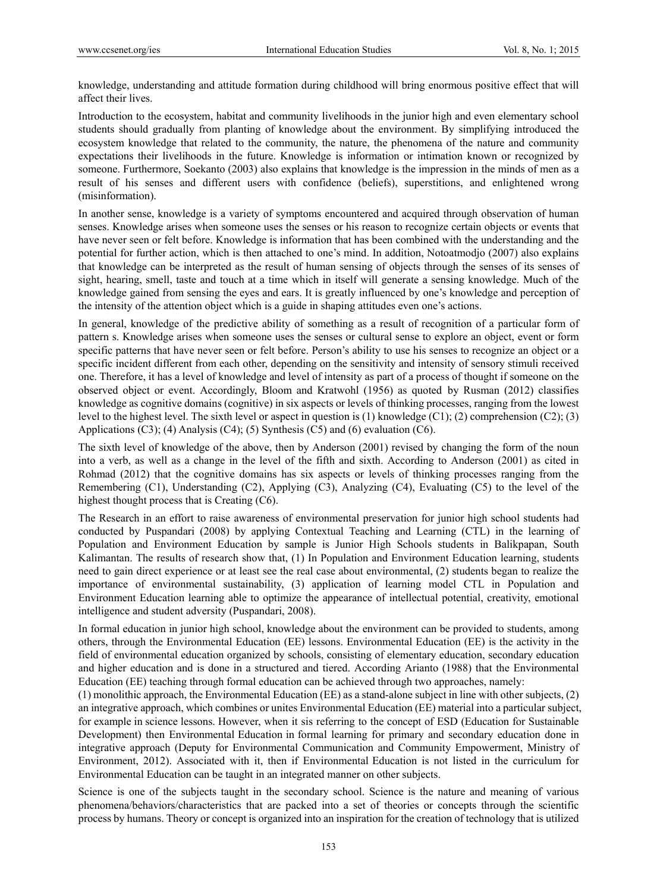knowledge, understanding and attitude formation during childhood will bring enormous positive effect that will affect their lives.

Introduction to the ecosystem, habitat and community livelihoods in the junior high and even elementary school students should gradually from planting of knowledge about the environment. By simplifying introduced the ecosystem knowledge that related to the community, the nature, the phenomena of the nature and community expectations their livelihoods in the future. Knowledge is information or intimation known or recognized by someone. Furthermore, Soekanto (2003) also explains that knowledge is the impression in the minds of men as a result of his senses and different users with confidence (beliefs), superstitions, and enlightened wrong (misinformation).

In another sense, knowledge is a variety of symptoms encountered and acquired through observation of human senses. Knowledge arises when someone uses the senses or his reason to recognize certain objects or events that have never seen or felt before. Knowledge is information that has been combined with the understanding and the potential for further action, which is then attached to one's mind. In addition, Notoatmodjo (2007) also explains that knowledge can be interpreted as the result of human sensing of objects through the senses of its senses of sight, hearing, smell, taste and touch at a time which in itself will generate a sensing knowledge. Much of the knowledge gained from sensing the eyes and ears. It is greatly influenced by one's knowledge and perception of the intensity of the attention object which is a guide in shaping attitudes even one's actions.

In general, knowledge of the predictive ability of something as a result of recognition of a particular form of pattern s. Knowledge arises when someone uses the senses or cultural sense to explore an object, event or form specific patterns that have never seen or felt before. Person's ability to use his senses to recognize an object or a specific incident different from each other, depending on the sensitivity and intensity of sensory stimuli received one. Therefore, it has a level of knowledge and level of intensity as part of a process of thought if someone on the observed object or event. Accordingly, Bloom and Kratwohl (1956) as quoted by Rusman (2012) classifies knowledge as cognitive domains (cognitive) in six aspects or levels of thinking processes, ranging from the lowest level to the highest level. The sixth level or aspect in question is (1) knowledge (C1); (2) comprehension (C2); (3) Applications (C3); (4) Analysis (C4); (5) Synthesis (C5) and (6) evaluation (C6).

The sixth level of knowledge of the above, then by Anderson (2001) revised by changing the form of the noun into a verb, as well as a change in the level of the fifth and sixth. According to Anderson (2001) as cited in Rohmad (2012) that the cognitive domains has six aspects or levels of thinking processes ranging from the Remembering (C1), Understanding (C2), Applying (C3), Analyzing (C4), Evaluating (C5) to the level of the highest thought process that is Creating (C6).

The Research in an effort to raise awareness of environmental preservation for junior high school students had conducted by Puspandari (2008) by applying Contextual Teaching and Learning (CTL) in the learning of Population and Environment Education by sample is Junior High Schools students in Balikpapan, South Kalimantan. The results of research show that, (1) In Population and Environment Education learning, students need to gain direct experience or at least see the real case about environmental, (2) students began to realize the importance of environmental sustainability, (3) application of learning model CTL in Population and Environment Education learning able to optimize the appearance of intellectual potential, creativity, emotional intelligence and student adversity (Puspandari, 2008).

In formal education in junior high school, knowledge about the environment can be provided to students, among others, through the Environmental Education (EE) lessons. Environmental Education (EE) is the activity in the field of environmental education organized by schools, consisting of elementary education, secondary education and higher education and is done in a structured and tiered. According Arianto (1988) that the Environmental Education (EE) teaching through formal education can be achieved through two approaches, namely:

(1) monolithic approach, the Environmental Education (EE) as a stand-alone subject in line with other subjects, (2) an integrative approach, which combines or unites Environmental Education (EE) material into a particular subject, for example in science lessons. However, when it sis referring to the concept of ESD (Education for Sustainable Development) then Environmental Education in formal learning for primary and secondary education done in integrative approach (Deputy for Environmental Communication and Community Empowerment, Ministry of Environment, 2012). Associated with it, then if Environmental Education is not listed in the curriculum for Environmental Education can be taught in an integrated manner on other subjects.

Science is one of the subjects taught in the secondary school. Science is the nature and meaning of various phenomena/behaviors/characteristics that are packed into a set of theories or concepts through the scientific process by humans. Theory or concept is organized into an inspiration for the creation of technology that is utilized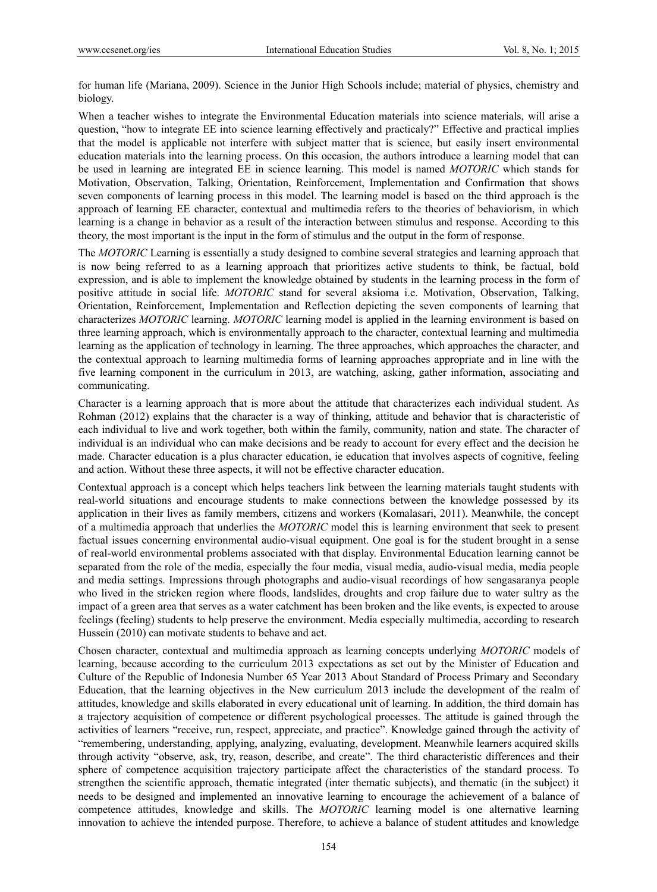for human life (Mariana, 2009). Science in the Junior High Schools include; material of physics, chemistry and biology.

When a teacher wishes to integrate the Environmental Education materials into science materials, will arise a question, "how to integrate EE into science learning effectively and practicaly?" Effective and practical implies that the model is applicable not interfere with subject matter that is science, but easily insert environmental education materials into the learning process. On this occasion, the authors introduce a learning model that can be used in learning are integrated EE in science learning. This model is named *MOTORIC* which stands for Motivation, Observation, Talking, Orientation, Reinforcement, Implementation and Confirmation that shows seven components of learning process in this model. The learning model is based on the third approach is the approach of learning EE character, contextual and multimedia refers to the theories of behaviorism, in which learning is a change in behavior as a result of the interaction between stimulus and response. According to this theory, the most important is the input in the form of stimulus and the output in the form of response.

The *MOTORIC* Learning is essentially a study designed to combine several strategies and learning approach that is now being referred to as a learning approach that prioritizes active students to think, be factual, bold expression, and is able to implement the knowledge obtained by students in the learning process in the form of positive attitude in social life. *MOTORIC* stand for several aksioma i.e. Motivation, Observation, Talking, Orientation, Reinforcement, Implementation and Reflection depicting the seven components of learning that characterizes *MOTORIC* learning. *MOTORIC* learning model is applied in the learning environment is based on three learning approach, which is environmentally approach to the character, contextual learning and multimedia learning as the application of technology in learning. The three approaches, which approaches the character, and the contextual approach to learning multimedia forms of learning approaches appropriate and in line with the five learning component in the curriculum in 2013, are watching, asking, gather information, associating and communicating.

Character is a learning approach that is more about the attitude that characterizes each individual student. As Rohman (2012) explains that the character is a way of thinking, attitude and behavior that is characteristic of each individual to live and work together, both within the family, community, nation and state. The character of individual is an individual who can make decisions and be ready to account for every effect and the decision he made. Character education is a plus character education, ie education that involves aspects of cognitive, feeling and action. Without these three aspects, it will not be effective character education.

Contextual approach is a concept which helps teachers link between the learning materials taught students with real-world situations and encourage students to make connections between the knowledge possessed by its application in their lives as family members, citizens and workers (Komalasari, 2011). Meanwhile, the concept of a multimedia approach that underlies the *MOTORIC* model this is learning environment that seek to present factual issues concerning environmental audio-visual equipment. One goal is for the student brought in a sense of real-world environmental problems associated with that display. Environmental Education learning cannot be separated from the role of the media, especially the four media, visual media, audio-visual media, media people and media settings. Impressions through photographs and audio-visual recordings of how sengasaranya people who lived in the stricken region where floods, landslides, droughts and crop failure due to water sultry as the impact of a green area that serves as a water catchment has been broken and the like events, is expected to arouse feelings (feeling) students to help preserve the environment. Media especially multimedia, according to research Hussein (2010) can motivate students to behave and act.

Chosen character, contextual and multimedia approach as learning concepts underlying *MOTORIC* models of learning, because according to the curriculum 2013 expectations as set out by the Minister of Education and Culture of the Republic of Indonesia Number 65 Year 2013 About Standard of Process Primary and Secondary Education, that the learning objectives in the New curriculum 2013 include the development of the realm of attitudes, knowledge and skills elaborated in every educational unit of learning. In addition, the third domain has a trajectory acquisition of competence or different psychological processes. The attitude is gained through the activities of learners "receive, run, respect, appreciate, and practice". Knowledge gained through the activity of "remembering, understanding, applying, analyzing, evaluating, development. Meanwhile learners acquired skills through activity "observe, ask, try, reason, describe, and create". The third characteristic differences and their sphere of competence acquisition trajectory participate affect the characteristics of the standard process. To strengthen the scientific approach, thematic integrated (inter thematic subjects), and thematic (in the subject) it needs to be designed and implemented an innovative learning to encourage the achievement of a balance of competence attitudes, knowledge and skills. The *MOTORIC* learning model is one alternative learning innovation to achieve the intended purpose. Therefore, to achieve a balance of student attitudes and knowledge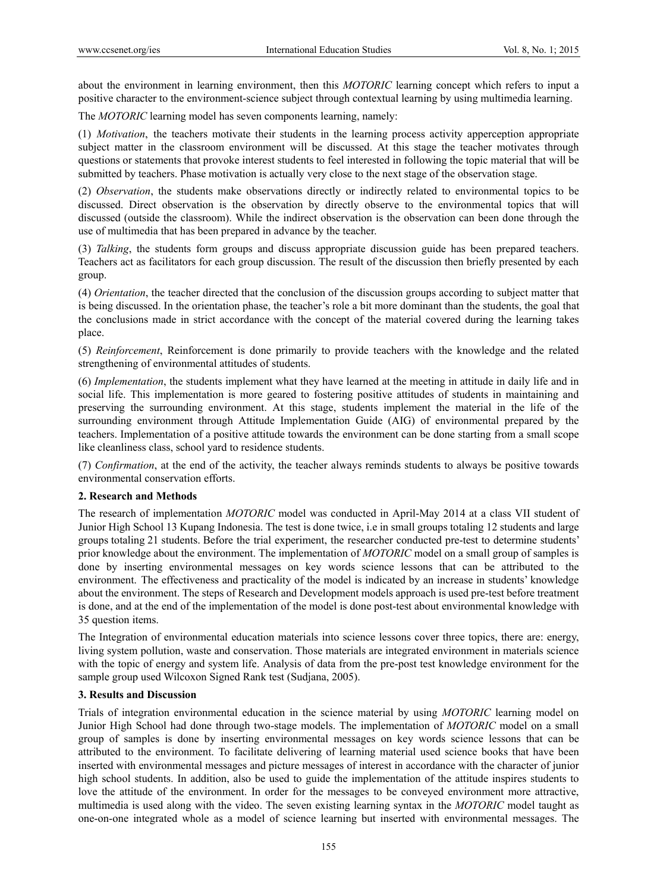about the environment in learning environment, then this *MOTORIC* learning concept which refers to input a positive character to the environment-science subject through contextual learning by using multimedia learning.

The *MOTORIC* learning model has seven components learning, namely:

(1) *Motivation*, the teachers motivate their students in the learning process activity apperception appropriate subject matter in the classroom environment will be discussed. At this stage the teacher motivates through questions or statements that provoke interest students to feel interested in following the topic material that will be submitted by teachers. Phase motivation is actually very close to the next stage of the observation stage.

(2) *Observation*, the students make observations directly or indirectly related to environmental topics to be discussed. Direct observation is the observation by directly observe to the environmental topics that will discussed (outside the classroom). While the indirect observation is the observation can been done through the use of multimedia that has been prepared in advance by the teacher.

(3) *Talking*, the students form groups and discuss appropriate discussion guide has been prepared teachers. Teachers act as facilitators for each group discussion. The result of the discussion then briefly presented by each group.

(4) *Orientation*, the teacher directed that the conclusion of the discussion groups according to subject matter that is being discussed. In the orientation phase, the teacher's role a bit more dominant than the students, the goal that the conclusions made in strict accordance with the concept of the material covered during the learning takes place.

(5) *Reinforcement*, Reinforcement is done primarily to provide teachers with the knowledge and the related strengthening of environmental attitudes of students.

(6) *Implementation*, the students implement what they have learned at the meeting in attitude in daily life and in social life. This implementation is more geared to fostering positive attitudes of students in maintaining and preserving the surrounding environment. At this stage, students implement the material in the life of the surrounding environment through Attitude Implementation Guide (AIG) of environmental prepared by the teachers. Implementation of a positive attitude towards the environment can be done starting from a small scope like cleanliness class, school yard to residence students.

(7) *Confirmation*, at the end of the activity, the teacher always reminds students to always be positive towards environmental conservation efforts.

# **2. Research and Methods**

The research of implementation *MOTORIC* model was conducted in April-May 2014 at a class VII student of Junior High School 13 Kupang Indonesia. The test is done twice, i.e in small groups totaling 12 students and large groups totaling 21 students. Before the trial experiment, the researcher conducted pre-test to determine students' prior knowledge about the environment. The implementation of *MOTORIC* model on a small group of samples is done by inserting environmental messages on key words science lessons that can be attributed to the environment. The effectiveness and practicality of the model is indicated by an increase in students' knowledge about the environment. The steps of Research and Development models approach is used pre-test before treatment is done, and at the end of the implementation of the model is done post-test about environmental knowledge with 35 question items.

The Integration of environmental education materials into science lessons cover three topics, there are: energy, living system pollution, waste and conservation. Those materials are integrated environment in materials science with the topic of energy and system life. Analysis of data from the pre-post test knowledge environment for the sample group used Wilcoxon Signed Rank test (Sudjana, 2005).

# **3. Results and Discussion**

Trials of integration environmental education in the science material by using *MOTORIC* learning model on Junior High School had done through two-stage models. The implementation of *MOTORIC* model on a small group of samples is done by inserting environmental messages on key words science lessons that can be attributed to the environment. To facilitate delivering of learning material used science books that have been inserted with environmental messages and picture messages of interest in accordance with the character of junior high school students. In addition, also be used to guide the implementation of the attitude inspires students to love the attitude of the environment. In order for the messages to be conveyed environment more attractive, multimedia is used along with the video. The seven existing learning syntax in the *MOTORIC* model taught as one-on-one integrated whole as a model of science learning but inserted with environmental messages. The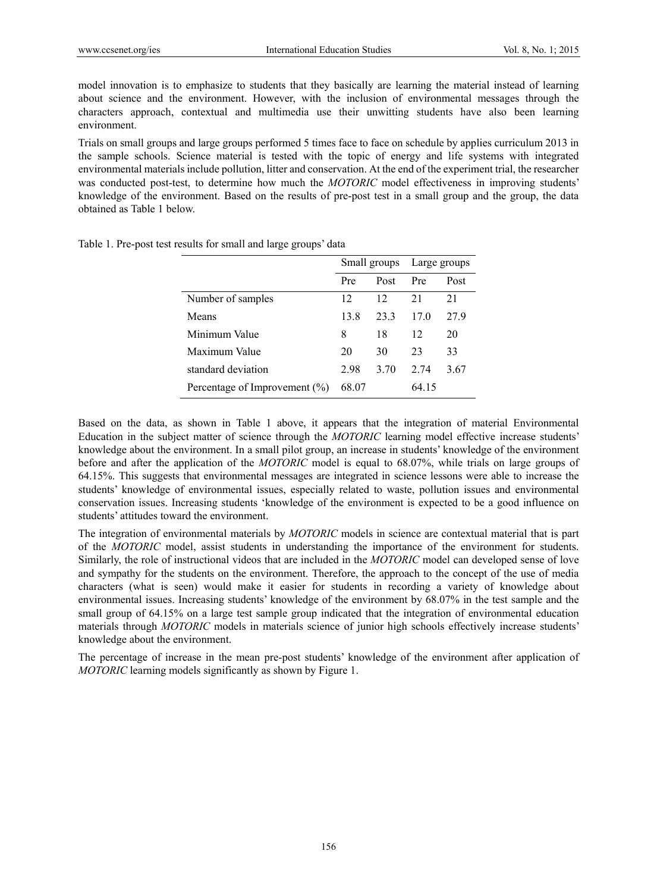model innovation is to emphasize to students that they basically are learning the material instead of learning about science and the environment. However, with the inclusion of environmental messages through the characters approach, contextual and multimedia use their unwitting students have also been learning environment.

Trials on small groups and large groups performed 5 times face to face on schedule by applies curriculum 2013 in the sample schools. Science material is tested with the topic of energy and life systems with integrated environmental materials include pollution, litter and conservation. At the end of the experiment trial, the researcher was conducted post-test, to determine how much the *MOTORIC* model effectiveness in improving students' knowledge of the environment. Based on the results of pre-post test in a small group and the group, the data obtained as Table 1 below.

|                                   | Small groups |      | Large groups |      |
|-----------------------------------|--------------|------|--------------|------|
|                                   | Pre          | Post | Pre          | Post |
| Number of samples                 | 12           | 12   | 21           | 21   |
| Means                             | 13.8         | 23.3 | 170          | 279  |
| Minimum Value                     | 8            | 18   | 12           | 20   |
| Maximum Value                     | 20           | 30   | 23           | 33   |
| standard deviation                | 2.98         | 3.70 | 2.74         | 3.67 |
| Percentage of Improvement $(\% )$ | 68.07        |      | 64 15        |      |

Table 1. Pre-post test results for small and large groups' data

Based on the data, as shown in Table 1 above, it appears that the integration of material Environmental Education in the subject matter of science through the *MOTORIC* learning model effective increase students' knowledge about the environment. In a small pilot group, an increase in students' knowledge of the environment before and after the application of the *MOTORIC* model is equal to 68.07%, while trials on large groups of 64.15%. This suggests that environmental messages are integrated in science lessons were able to increase the students' knowledge of environmental issues, especially related to waste, pollution issues and environmental conservation issues. Increasing students 'knowledge of the environment is expected to be a good influence on students' attitudes toward the environment.

The integration of environmental materials by *MOTORIC* models in science are contextual material that is part of the *MOTORIC* model, assist students in understanding the importance of the environment for students. Similarly, the role of instructional videos that are included in the *MOTORIC* model can developed sense of love and sympathy for the students on the environment. Therefore, the approach to the concept of the use of media characters (what is seen) would make it easier for students in recording a variety of knowledge about environmental issues. Increasing students' knowledge of the environment by 68.07% in the test sample and the small group of 64.15% on a large test sample group indicated that the integration of environmental education materials through *MOTORIC* models in materials science of junior high schools effectively increase students' knowledge about the environment.

The percentage of increase in the mean pre-post students' knowledge of the environment after application of *MOTORIC* learning models significantly as shown by Figure 1.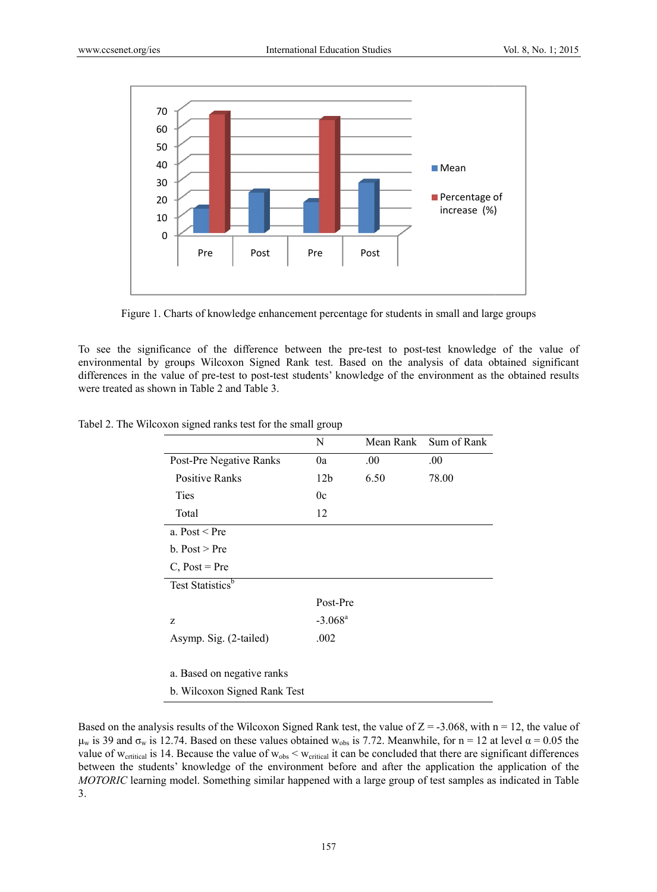

Figure 1. Charts of knowledge enhancement percentage for students in small and large groups

To see the significance of the difference between the pre-test to post-test knowledge of the value of environmental by groups Wilcoxon Signed Rank test. Based on the analysis of data obtained significant differences in the value of pre-test to post-test students' knowledge of the environment as the obtained results were treated as shown in Table 2 and Table 3.

|                              | N                     | Mean Rank | Sum of Rank |
|------------------------------|-----------------------|-----------|-------------|
| Post-Pre Negative Ranks      | 0a                    | .00.      | .00.        |
| <b>Positive Ranks</b>        | 12 <sub>b</sub>       | 6.50      | 78.00       |
| <b>Ties</b>                  | 0c                    |           |             |
| Total                        | 12                    |           |             |
| a. $Post < Pre$              |                       |           |             |
| b. Post > Pre                |                       |           |             |
| $C, Post = Pre$              |                       |           |             |
| Test Statistics <sup>b</sup> |                       |           |             |
|                              | Post-Pre              |           |             |
| Z                            | $-3.068$ <sup>a</sup> |           |             |
| Asymp. Sig. (2-tailed)       | .002                  |           |             |
| a. Based on negative ranks   |                       |           |             |
| b. Wilcoxon Signed Rank Test |                       |           |             |

Tabel 2. The Wilcoxon signed ranks test for the small group

Based on the analysis results of the Wilcoxon Signed Rank test, the value of  $Z = -3.068$ , with  $n = 12$ , the value of  $\mu_w$  is 39 and  $\sigma_w$  is 12.74. Based on these values obtained w<sub>obs</sub> is 7.72. Meanwhile, for n = 12 at level  $\alpha$  = 0.05 the value of w<sub>crtitical</sub> is 14. Because the value of  $w_{obs} < w_{critical}$  it can be concluded that there are significant differences between the students' knowledge of the environment before and after the application the application of the *MOTORIC* learning model. Something similar happened with a large group of test samples as indicated in Table 3.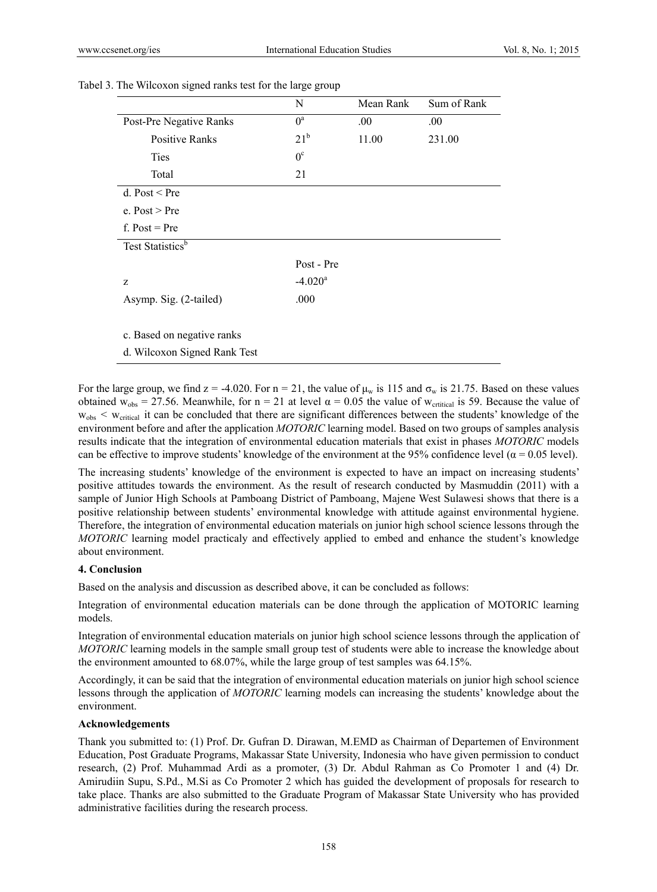|                              | N                     | Mean Rank | Sum of Rank |
|------------------------------|-----------------------|-----------|-------------|
| Post-Pre Negative Ranks      | $0^{\rm a}$           | .00       | .00         |
| <b>Positive Ranks</b>        | $21^{\rm b}$          | 11.00     | 231.00      |
| <b>Ties</b>                  | $0^{\circ}$           |           |             |
| Total                        | 21                    |           |             |
| d. $Post < Pre$              |                       |           |             |
| e. $Post > Pre$              |                       |           |             |
| f. $Post = Pre$              |                       |           |             |
| Test Statistics <sup>b</sup> |                       |           |             |
|                              | Post - Pre            |           |             |
| Z                            | $-4.020$ <sup>a</sup> |           |             |
| Asymp. Sig. (2-tailed)       | .000                  |           |             |
|                              |                       |           |             |
| c. Based on negative ranks   |                       |           |             |
| d. Wilcoxon Signed Rank Test |                       |           |             |

Tabel 3. The Wilcoxon signed ranks test for the large group

For the large group, we find  $z = -4.020$ . For  $n = 21$ , the value of  $\mu_w$  is 115 and  $\sigma_w$  is 21.75. Based on these values obtained w<sub>obs</sub> = 27.56. Meanwhile, for n = 21 at level  $\alpha$  = 0.05 the value of w<sub>crtitical</sub> is 59. Because the value of  $w_{obs}$  <  $w_{critical}$  it can be concluded that there are significant differences between the students' knowledge of the environment before and after the application *MOTORIC* learning model. Based on two groups of samples analysis results indicate that the integration of environmental education materials that exist in phases *MOTORIC* models can be effective to improve students' knowledge of the environment at the 95% confidence level ( $\alpha$  = 0.05 level).

The increasing students' knowledge of the environment is expected to have an impact on increasing students' positive attitudes towards the environment. As the result of research conducted by Masmuddin (2011) with a sample of Junior High Schools at Pamboang District of Pamboang, Majene West Sulawesi shows that there is a positive relationship between students' environmental knowledge with attitude against environmental hygiene. Therefore, the integration of environmental education materials on junior high school science lessons through the *MOTORIC* learning model practicaly and effectively applied to embed and enhance the student's knowledge about environment.

#### **4. Conclusion**

Based on the analysis and discussion as described above, it can be concluded as follows:

Integration of environmental education materials can be done through the application of MOTORIC learning models.

Integration of environmental education materials on junior high school science lessons through the application of *MOTORIC* learning models in the sample small group test of students were able to increase the knowledge about the environment amounted to 68.07%, while the large group of test samples was 64.15%.

Accordingly, it can be said that the integration of environmental education materials on junior high school science lessons through the application of *MOTORIC* learning models can increasing the students' knowledge about the environment.

## **Acknowledgements**

Thank you submitted to: (1) Prof. Dr. Gufran D. Dirawan, M.EMD as Chairman of Departemen of Environment Education, Post Graduate Programs, Makassar State University, Indonesia who have given permission to conduct research, (2) Prof. Muhammad Ardi as a promoter, (3) Dr. Abdul Rahman as Co Promoter 1 and (4) Dr. Amirudiin Supu, S.Pd., M.Si as Co Promoter 2 which has guided the development of proposals for research to take place. Thanks are also submitted to the Graduate Program of Makassar State University who has provided administrative facilities during the research process.